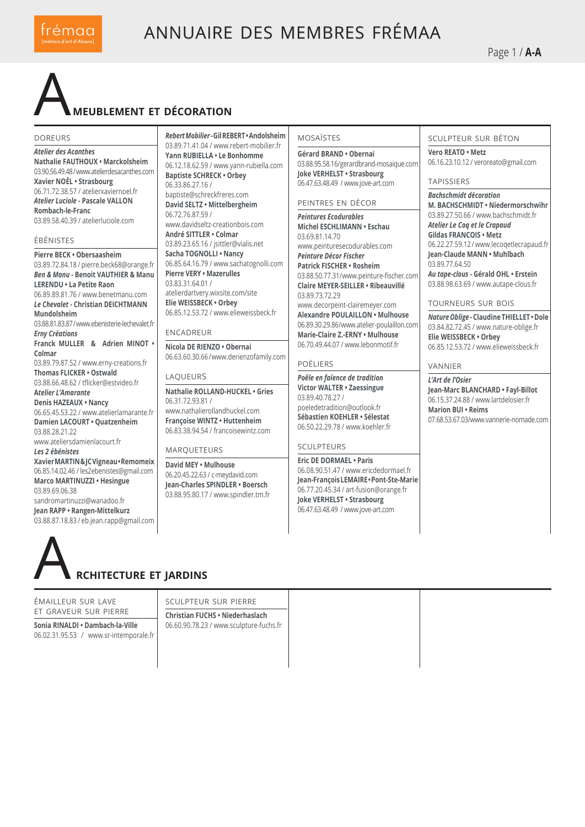

Page 1 / **A-A**

## A**meublement et décoration**

#### doreurs

*Atelier des Acanthes* **Nathalie FAUTHOUX • Marckolsheim** 03.90.56.49.48 / www.atelierdesacanthes.com **Xavier NOËL • Strasbourg** 06.71.72.38.57 / atelierxaviernoel.fr *Atelier Luciole* **- Pascale VALLON Rombach-le-Franc** 03.89.58.40.39 / atelierluciole.com

#### ébénistes

**Pierre BECK • Obersaasheim**  03.89.72.84.18 / pierre.beck68@orange.fr *Ben & Manu* **- Benoit VAUTHIER & Manu LERENDU • La Petite Raon** 06.89.89.81.76 / www.benetmanu.com *Le Chevalet* **- Christian DEICHTMANN Mundolsheim**  03.88.81.83.87 / www.ebenisterie-lechevalet.fr *Erny Créations* **Franck MULLER & Adrien MINOT • Colmar** 03.89.79.87.52 / www.erny-creations.fr **Thomas FLICKER • Ostwald**  03.88.66.48.62 / tflicker@estvideo.fr **A***telier L'Amarante* **Denis HAZEAUX • Nancy** 06.65.45.53.22 / www.atelierlamarante.fr **Damien LACOURT • Quatzenheim**  03.88.28.21.22 www.ateliersdamienlacourt.fr *Les 2 ébénistes* **Xavier MARTIN & JC Vigneau • Remomeix**  06.85.14.02.46 / les2ebenistes@gmail.com **Marco MARTINUZZI • Hesingue** 03.89.69.06.38 sandromartinuzzi@wanadoo.fr **Jean RAPP • Rangen-Mittelkurz**  03.88.87.18.83 / eb.jean.rapp@gmail.com

*Rebert Mobilier* **- Gil REBERT • Andolsheim**  03.89.71.41.04 / www.rebert-mobilier.fr **Yann RUBIELLA • Le Bonhomme**  06.12.18.62.59 / www.yann-rubiella.com **Baptiste SCHRECK • Orbey** 06.33.86.27.16 / baptiste@schreckfreres.com **David SELTZ • Mittelbergheim** 06.72.76.87.59 / www.davidseltz-creationbois.com **André SITTLER • Colmar**  03.89.23.65.16 / jsittler@vialis.net **Sacha TOGNOLLI • Nancy** 06.85.64.16.79 / www.sachatognolli.com **Pierre VERY • Mazerulles** 03.83.31.64.01 / atelierdartvery.wixsite.com/site **Elie WEISSBECK • Orbey** 06.85.12.53.72 / www.elieweissbeck.fr

**ENCADREUP** 

**Nicola DE RIENZO • Obernai**  06.63.60.30.66 / www.derienzofamily.com

#### laqueurs

**Nathalie ROLLAND-HUCKEL • Gries** 06.31.72.93.81 / www.nathalierollandhuckel.com **Françoise WINTZ • Huttenheim** 06.83.38.94.54 / francoisewintz.com

#### MARQUETEURS

**David MEY • Mulhouse**  06.20.45.22.63 / c-meydavid.com **Jean-Charles SPINDLER • Boersch** 03.88.95.80.17 / www.spindler.tm.fr

#### mosaïstes

**Gérard BRAND • Obernai** 03.88.95.58.16/gerardbrand-mosaique.com **Joke VERHELST • Strasbourg** 06.47.63.48.49 / www.jove-art.com

#### peintres en décor

*Peintures Ecodurables* **Michel ESCHLIMANN • Eschau** 03.69.81.14.70 www.peinturesecodurables.com *Peinture Décor Fischer* **Patrick FISCHER • Rosheim** 03.88.50.77.31 / www.peinture-fischer.com **Claire MEYER-SEILLER • Ribeauvillé** 03.89.73.72.29 www.decorpeint-clairemeyer.com **Alexandre POULAILLON • Mulhouse** 06.89.30.29.86 / www.atelier-poulaillon.com **Marie-Claire Z.-ERNY • Mulhouse** 06.70.49.44.07 / www.lebonmotif.fr

#### poëliers

*Poêle en faïence de tradition* **Victor WALTER • Zaessingue** 03.89.40.78.27 / poeledetradition@outlook.fr **Sébastien KOEHLER • Sélestat** 06.50.22.29.78 / www.koehler.fr

#### sculpteurs

**Eric DE DORMAEL • Paris** 06.08.90.51.47 / www.ericdedormael.fr **Jean-François LEMAIRE • Pont-Ste-Marie** 06.77.20.45.34 / art-fusion@orange.fr **Joke VERHELST • Strasbourg** 06.47.63.48.49 / www.jove-art.com

#### sculpteur sur béton

**Vero REATO • Metz** 06.16.23.10.12 / veroreato@gmail.com

#### **TAPISSIERS**

*Bachschmidt décoration*

**M. BACHSCHMIDT • Niedermorschwihr**  03.89.27.50.66 / www.bachschmidt.fr *Atelier Le Coq et le Crapaud* **Gildas FRANCOIS • Metz** 06.22.27.59.12 / www.lecoqetlecrapaud.fr **Jean-Claude MANN • Muhlbach** 03.89.77.64.50 *Au tape-clous* **- Gérald OHL • Erstein** 03.88.98.63.69 / www.autape-clous.fr

#### tourneurs sur bois

*Nature Oblige* **- Claudine THIELLET • Dole** 03.84.82.72.45 / www.nature-oblige.fr **Elie WEISSBECK • Orbey** 06.85.12.53.72 / www.elieweissbeck.fr

#### vannier

*L'Art de l'Osier* **Jean-Marc BLANCHARD • Fayl-Billot** 06.15.37.24.88 / www.lartdelosier.fr **Marion BUI • Reims** 07.68.53.67.03/www.vannerie-nomade.com

A **rchitecture et jardins**

#### émailleur sur lave et graveur sur pierre

**Sonia RINALDI • Dambach-la-Ville** 06.02.31.95.53 / www.sr-intemporale.fr

sculpteur sur pierre **Christian FUCHS • Niederhaslach**

06.60.90.78.23 / www.sculpture-fuchs.fr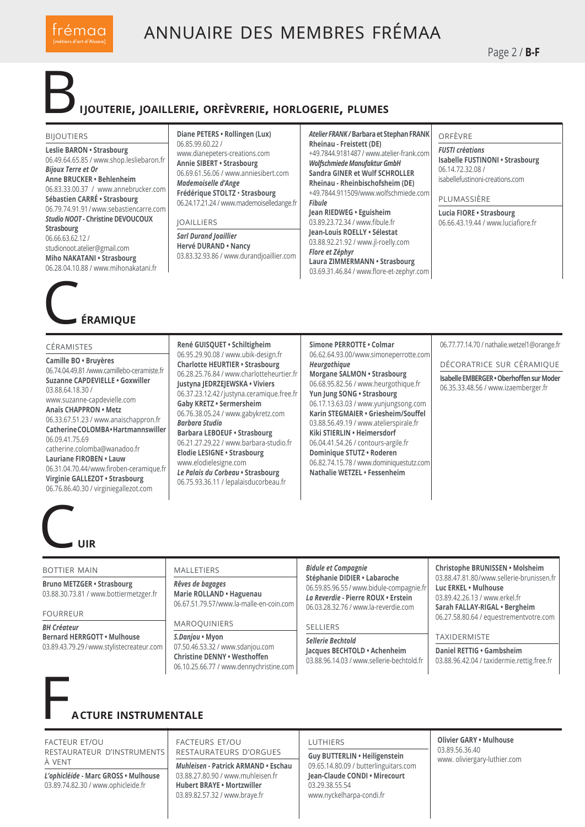

Page 2 / **B-F**

#### B**ijouterie, joaillerie, orfèvrerie, horlogerie, plumes**

#### **BIIOUTIERS**

**Leslie BARON • Strasbourg** 06.49.64.65.85 / www.shop.lesliebaron.fr *Bijoux Terre et Or*  **Anne BRUCKER • Behlenheim**  06.83.33.00.37 / www.annebrucker.com **Sébastien CARRÉ • Strasbourg** 06.79.74.91.91 / www.sebastiencarre.com *Studio NOOT* **- Christine DEVOUCOUX Strasbourg**

06.66.63.62.12 / studionoot.atelier@gmail.com **Miho NAKATANI • Strasbourg** 06.28.04.10.88 / www.mihonakatani.fr

## **ÉRAMIOUE**

#### céramistes

**Camille BO • Bruyères** 06.74.04.49.81 /www.camillebo-ceramiste.fr **Suzanne CAPDEVIELLE • Goxwiller** 03.88.64.18.30 / www.suzanne-capdevielle.com **Anaïs CHAPPRON • Metz** 06.33.67.51.23 / www.anaischappron.fr **Catherine COLOMBA • Hartmannswiller** 06.09.41.75.69 catherine.colomba@wanadoo.fr

**Lauriane FIROBEN • Lauw** 06.31.04.70.44 / www.firoben-ceramique.fr **Virginie GALLEZOT • Strasbourg** 06.76.86.40.30 / virginiegallezot.com

**Diane PETERS • Rollingen (Lux)** 06.85.99.60.22 / www.dianepeters-creations.com **Annie SIBERT • Strasbourg** 06.69.61.56.06 / www.anniesibert.com *Mademoiselle d'Ange* **Frédérique STOLTZ** • **Strasbourg** 06.24.17.21.24 / www.mademoiselledange.fr

#### **JOAILLIERS**

*Sarl Durand Joaillier* **Hervé DURAND • Nancy** 03.83.32.93.86 / www.durandjoaillier.com *Atelier FRANK /* **Barbara et Stephan FRANK Rheinau - Freistett (DE)** +49.7844.9181487 / www.atelier-frank.com *Wolfschmiede Manufaktur GmbH* **Sandra GINER et Wulf SCHROLLER Rheinau - Rheinbischofsheim (DE)** +49.7844.911509/www.wolfschmiede.com *Fibule* **Jean RIEDWEG • Eguisheim** 03.89.23.72.34 / www.fibule.fr **Jean-Louis ROELLY • Sélestat**  03.88.92.21.92 / www.jl-roelly.com

*Flore et Zéphyr*  **Laura ZIMMERMANN • Strasbourg** 03.69.31.46.84 / www.flore-et-zephyr.com

#### orfèvre

*FUSTI créations* **Isabelle FUSTINONI • Strasbourg** 06.14.72.32.08 / isabellefustinoni-creations.com

plumassière

**Lucia FIORE • Strasbourg** 06.66.43.19.44 / www.luciafiore.fr

#### **René GUISQUET • Schiltigheim** 06.95.29.90.08 / www.ubik-design.fr **Charlotte HEURTIER • Strasbourg** 06.28.25.76.84 / www.charlotteheurtier.fr **Justyna JEDRZEJEWSKA • Viviers** 06.37.23.12.42 / justyna.ceramique.free.fr **Gaby KRETZ • Sermersheim** 06.76.38.05.24 / www.gabykretz.com *Barbara Studio* **Barbara LEBOEUF • Strasbourg** 06.21.27.29.22 / www.barbara-studio.fr **Elodie LESIGNE • Strasbourg** www.elodielesigne.com *Le Palais du Corbeau* **• Strasbourg**

06.75.93.36.11 / lepalaisducorbeau.fr

**Simone PERROTTE • Colmar** 06.62.64.93.00 / www.simoneperrotte.com *Heurgothique* **Morgane SALMON • Strasbourg** 06.68.95.82.56 / www.heurgothique.fr **Yun Jung SONG • Strasbourg** 06.17.13.63.03 / www.yunjungsong.com **Karin STEGMAIER • Griesheim/Souffel** 03.88.56.49.19 / www.atelierspirale.fr **Kiki STIERLIN • Heimersdorf** 06.04.41.54.26 / contours-argile.fr **Dominique STUTZ • Roderen** 06.82.74.15.78 / www.dominiquestutz.com **Nathalie WETZEL • Fessenheim**

06.77.77.14.70 / nathalie.wetzel1@orange.fr

décoratrice sur céramique

**Isabelle EMBERGER • Oberhoffen sur Moder** 06.35.33.48.56 / www.izaemberger.fr

C**uir**

### bottier main

**Bruno METZGER • Strasbourg** 03.88.30.73.81 / www.bottiermetzger.fr

fourreur

*BH Créateur* **Bernard HERRGOTT • Mulhouse** 03.89.43.79.29 / www.stylistecreateur.com

#### **MALLETIERS** *Rêves de bagages* **Marie ROLLAND • Haguenau**

06.67.51.79.57/www.la-malle-en-coin.com

#### maroquiniers

*S.Danjou* **• Myon** 07.50.46.53.32 / www.sdanjou.com **Christine DENNY • Westhoffen** 06.10.25.66.77 / www.dennychristine.com

#### *Bidule et Compagnie* **Stéphanie DIDIER • Labaroche** 06.59.85.96.55 / www.bidule-compagnie.fr

*La Reverdie -* **Pierre ROUX • Erstein** 06.03.28.32.76 / www.la-reverdie.com

#### selliers

*Sellerie Bechtold* **Jacques BECHTOLD • Achenheim** 03.88.96.14.03 / www.sellerie-bechtold.fr

#### **Christophe BRUNISSEN • Molsheim** 03.88.47.81.80 / www.sellerie-brunissen.fr

**Luc ERKEL • Mulhouse** 03.89.42.26.13 / www.erkel.fr **Sarah FALLAY-RIGAL • Bergheim** 06.27.58.80.64 / equestrementvotre.com

#### **TAXIDERMISTE**

**Daniel RETTIG • Gambsheim** 03.88.96.42.04 / taxidermie.rettig.free.fr



### F**acture instrumentale**

facteur et/ou restaurateur d'instruments à vent

*L'ophicléide* **- Marc GROSS • Mulhouse** 03.89.74.82.30 / www.ophicleide.fr

facteurs et/ou restaurateurs d'orgues

*Muhleisen* **- Patrick ARMAND • Eschau** 03.88.27.80.90 / www.muhleisen.fr **Hubert BRAYE • Mortzwiller** 03.89.82.57.32 / www.braye.fr

#### **LUTHIERS**

**Guy BUTTERLIN • Heiligenstein** 09.65.14.80.09 / butterlinguitars.com **Jean-Claude CONDI • Mirecourt** 03.29.38.55.54 www.nyckelharpa-condi.fr

**Olivier GARY • Mulhouse** 03.89.56.36.40 www. oliviergary-luthier.com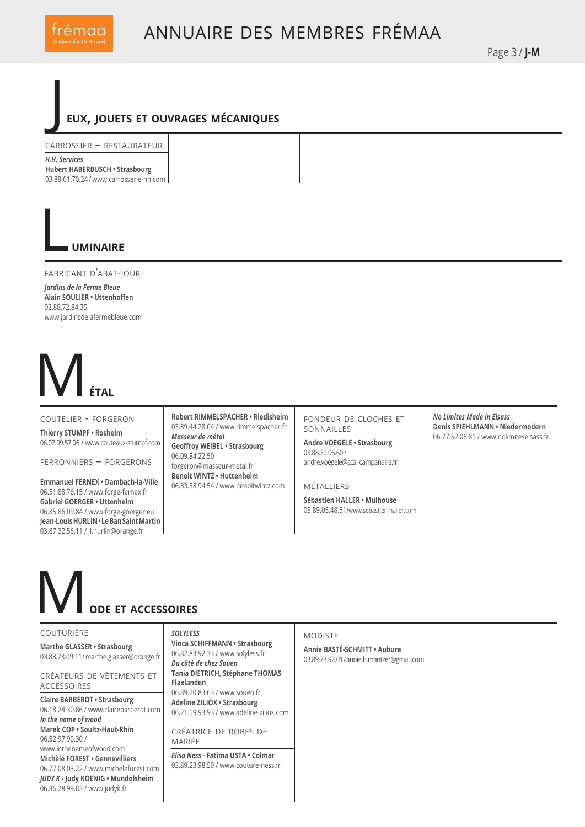

Page 3 / **J-M**

#### J **eux, jouets et ouvrages mécaniques**

carrossier – restaurateur

*H.H. Services* **Hubert HABERBUSCH • Strasbourg** 03.88.61.70.24 / www.carrosserie-hh.com

#### L**uminaire**

fabricant d'abat-jour *Jardins de la Ferme Bleue*  **Alain SOULIER • Uttenhoffen** 03.88.72.84.35 www.jardinsdelafermebleue.com

# M**étal**

#### coutelier - forgeron

**Thierry STUMPF • Rosheim** 06.07.09.57.06 / www.couteaux-stumpf.com

ferronniers – forgerons

**Emmanuel FERNEX • Dambach-la-Ville** 06.51.88.76.15 / www.forge-fernex.fr **Gabriel GOERGER • Uttenheim** 06.85.86.09.84 / www.forge-goerger.eu **Jean-Louis HURLIN • Le Ban Saint Martin**  03.87.32.56.11 / jl.hurlin@orange.fr

**Robert RIMMELSPACHER • Riedisheim** 03.89.44.28.04 / www.rimmelspacher.fr *Masseur de métal* **Geoffroy WEIBEL • Strasbourg** 06.09.84.22.50 forgeron@masseur-metal.fr **Benoit WINTZ • Huttenheim**  06.83.38.94.54 / www.benoitwintz.com

fondeur de cloches et sonnailles

**Andre VOEGELE • Strasbourg** 03.88.30.06.60 / andre.voegele@scal-campanaire.fr

**MÉTALLIERS** 

**Sébastien HALLER • Mulhouse** 03.89.05.48.51/www.sebastien-haller.com *No Limites Made in Elsass* **Denis SPIEHLMANN • Niedermodern** 06.77.52.06.81 / www.nolimiteselsass.fr

## M**ode et accessoires**

#### couturière

**Marthe GLASSER • Strasbourg** 03.88.23.09.11 / marthe.glasser@orange.fr

créateurs de vêtements et accessoires

**Claire BARBEROT • Strasbourg** 06.18.24.30.86 / www.clairebarberot.com *In the name of wood*  **Marek COP • Soultz-Haut-Rhin** 06.52.97.90.30 / www.inthenameofwood.com **Michèle FOREST • Gennevilliers** 06.77.08.03.22 / www.micheleforest.com *JUDY K* **- Judy KOENIG • Mundolsheim** 06.86.28.99.83 / www.judyk.fr

#### *SOLYLESS*

**Vinca SCHIFFMANN • Str** 06.82.83.92.33 / www.soly *Du côté de chez Souen* **Tania DIETRICH, Stéphan Flaxlanden** 06.89.20.83.63 / www.sou **Adeline ZILIOX • Strasbo** 06.21.59.93.93 / www.ade CRÉATRICE DE ROB mariée

*Elisa Ness* - Fatima USTA 03.89.23.98.50 / www.cout

### MODISTE

| rasbourg<br>yless.fr              |                                                                          |
|-----------------------------------|--------------------------------------------------------------------------|
|                                   | Annie BASTÉ-SCHMITT . Aubure<br>03.89.73.92.01/annie.b.mantzer@gmail.com |
| ne THOMAS                         |                                                                          |
| ien.fr<br>urg<br>eline-ziliox.com |                                                                          |
| ES DE                             |                                                                          |
| <b>Colmar</b><br>uture-ness.fr    |                                                                          |